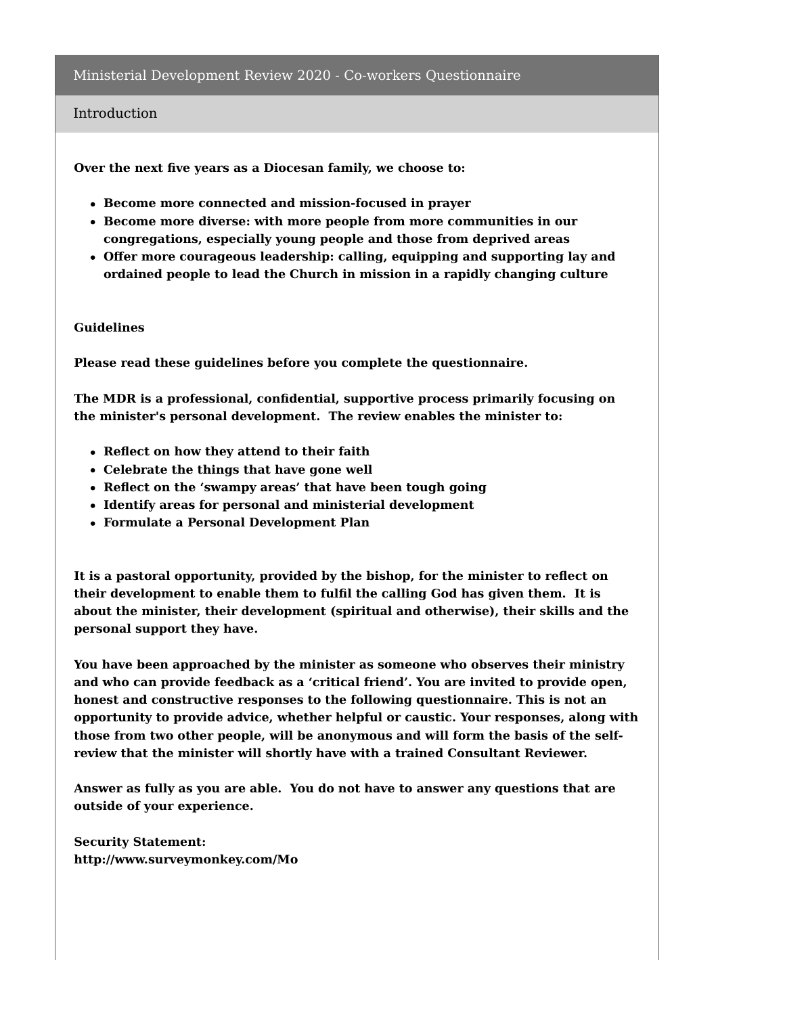### Introduction

**Over the next five years as a Diocesan family, we choose to:**

- **Become more connected and mission-focused in prayer**
- **Become more diverse: with more people from more communities in our congregations, especially young people and those from deprived areas**
- **Offer more courageous leadership: calling, equipping and supporting lay and ordained people to lead the Church in mission in a rapidly changing culture**

#### **Guidelines**

**Please read these guidelines before you complete the questionnaire.**

**The MDR is a professional, confidential, supportive process primarily focusing on the minister's personal development. The review enables the minister to:**

- **Reflect on how they attend to their faith**
- **Celebrate the things that have gone well**
- **Reflect on the 'swampy areas' that have been tough going**
- **Identify areas for personal and ministerial development**
- **Formulate a Personal Development Plan**

**It is a pastoral opportunity, provided by the bishop, for the minister to reflect on their development to enable them to fulfil the calling God has given them. It is about the minister, their development (spiritual and otherwise), their skills and the personal support they have.**

**You have been approached by the minister as someone who observes their ministry and who can provide feedback as a 'critical friend'. You are invited to provide open, honest and constructive responses to the following questionnaire. This is not an opportunity to provide advice, whether helpful or caustic. Your responses, along with those from two other people, will be anonymous and will form the basis of the selfreview that the minister will shortly have with a trained Consultant Reviewer.**

**Answer as fully as you are able. You do not have to answer any questions that are outside of your experience.**

**Security Statement: http://www.surveymonkey.com/Mo**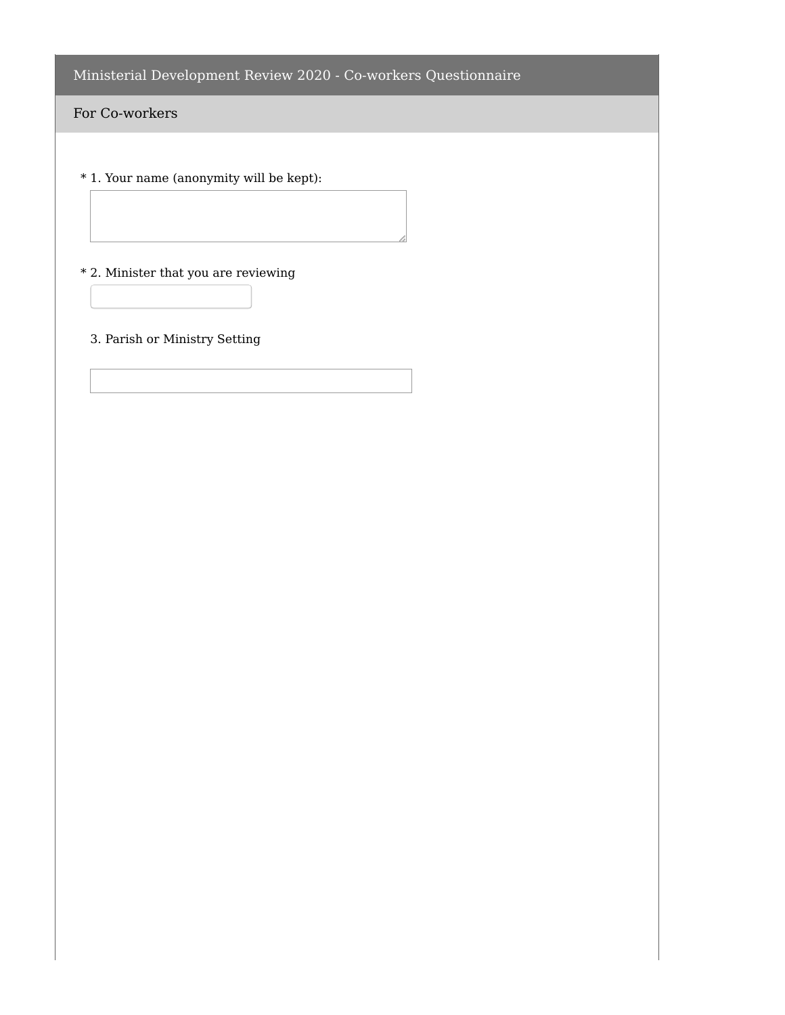## For Co-workers

\* 1. Your name (anonymity will be kept):

\* 2. Minister that you are reviewing

## 3. Parish or Ministry Setting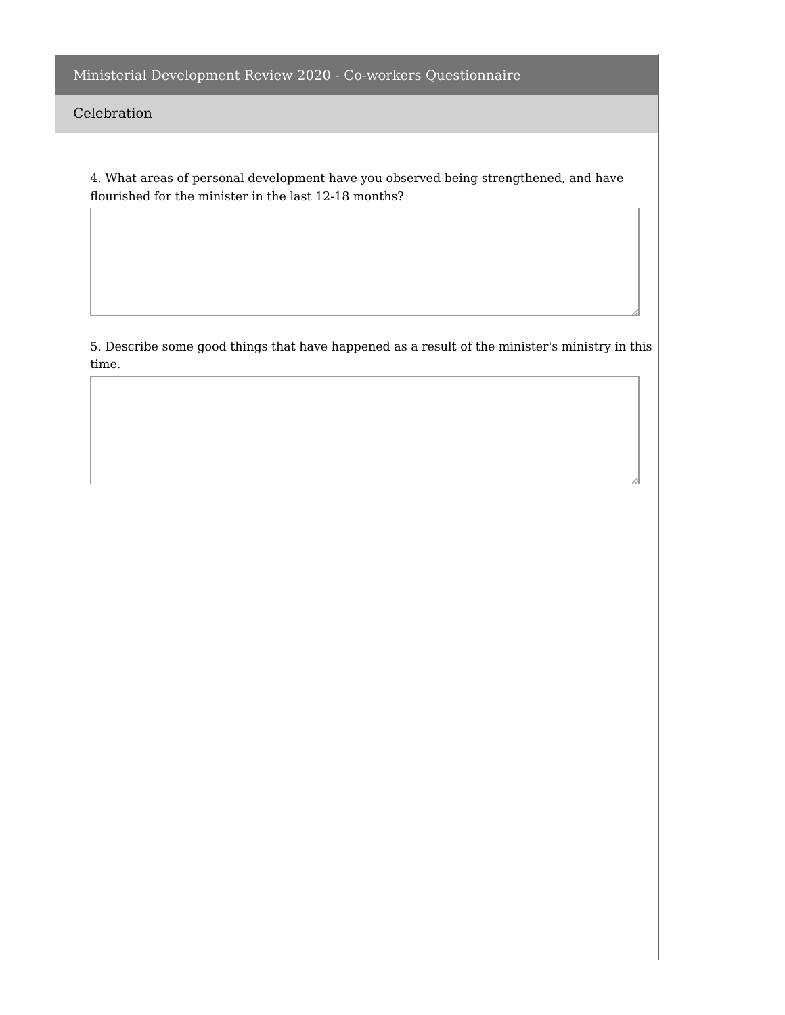Celebration

4. What areas of personal development have you observed being strengthened, and have flourished for the minister in the last 12-18 months?

5. Describe some good things that have happened as a result of the minister's ministry in this time.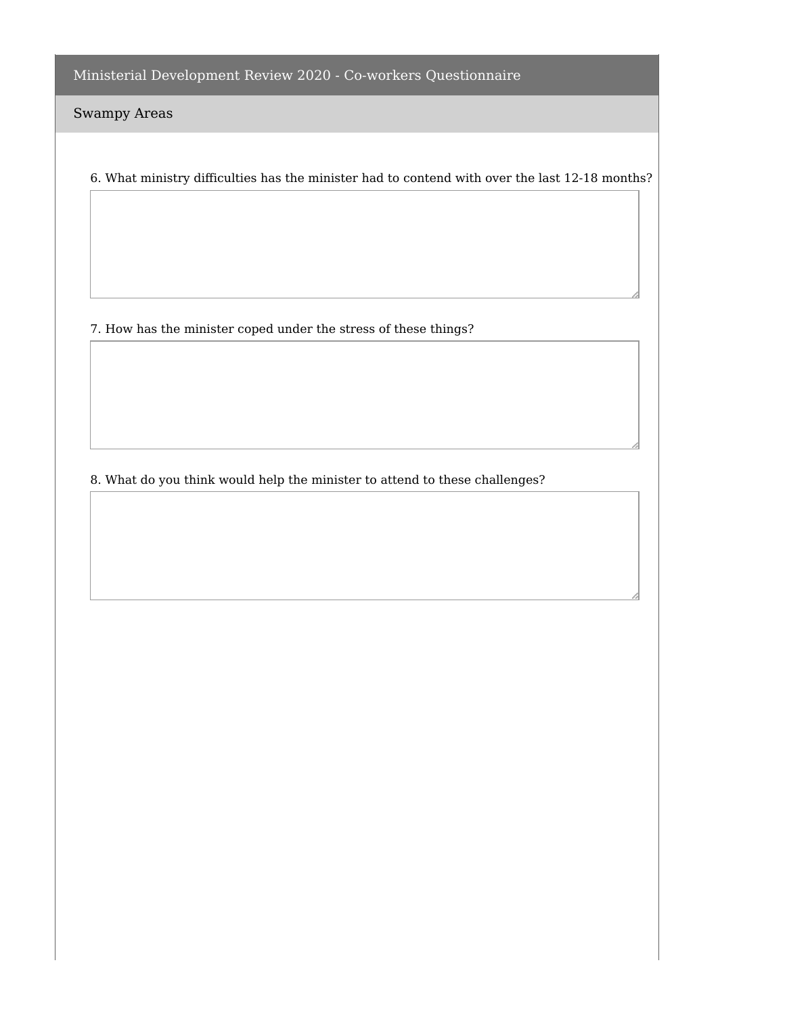Swampy Areas

6. What ministry difficulties has the minister had to contend with over the last 12-18 months?

7. How has the minister coped under the stress of these things?

8. What do you think would help the minister to attend to these challenges?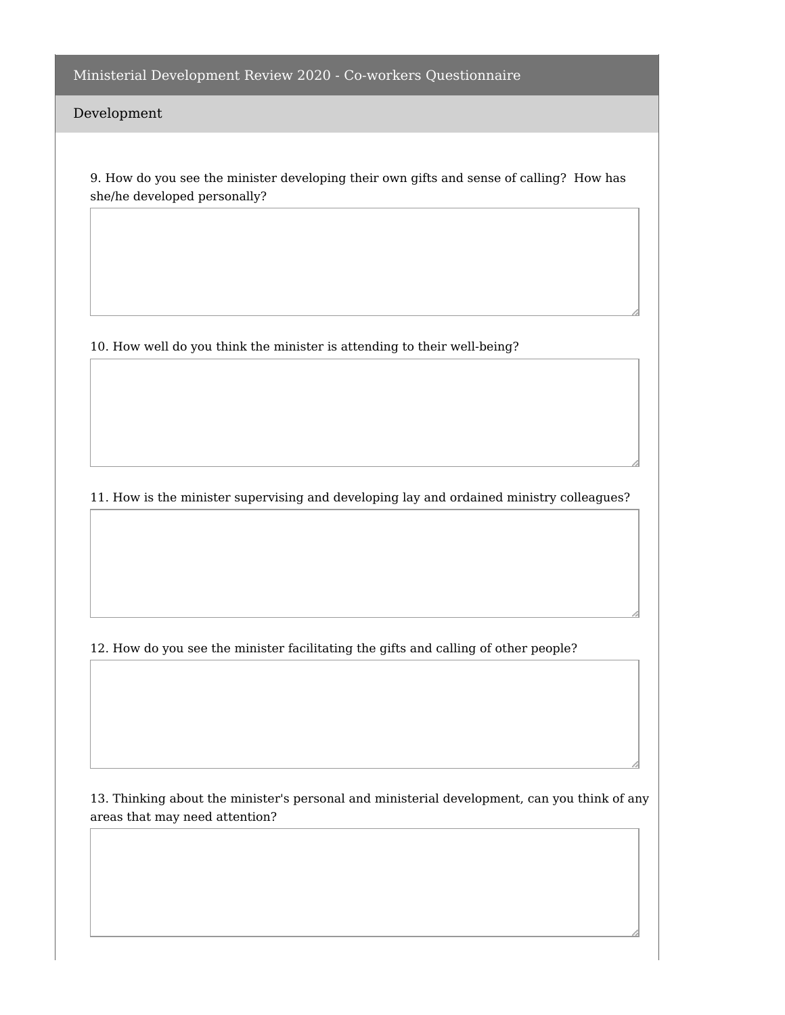Development

9. How do you see the minister developing their own gifts and sense of calling? How has she/he developed personally?

10. How well do you think the minister is attending to their well-being?

11. How is the minister supervising and developing lay and ordained ministry colleagues?

12. How do you see the minister facilitating the gifts and calling of other people?

13. Thinking about the minister's personal and ministerial development, can you think of any areas that may need attention?